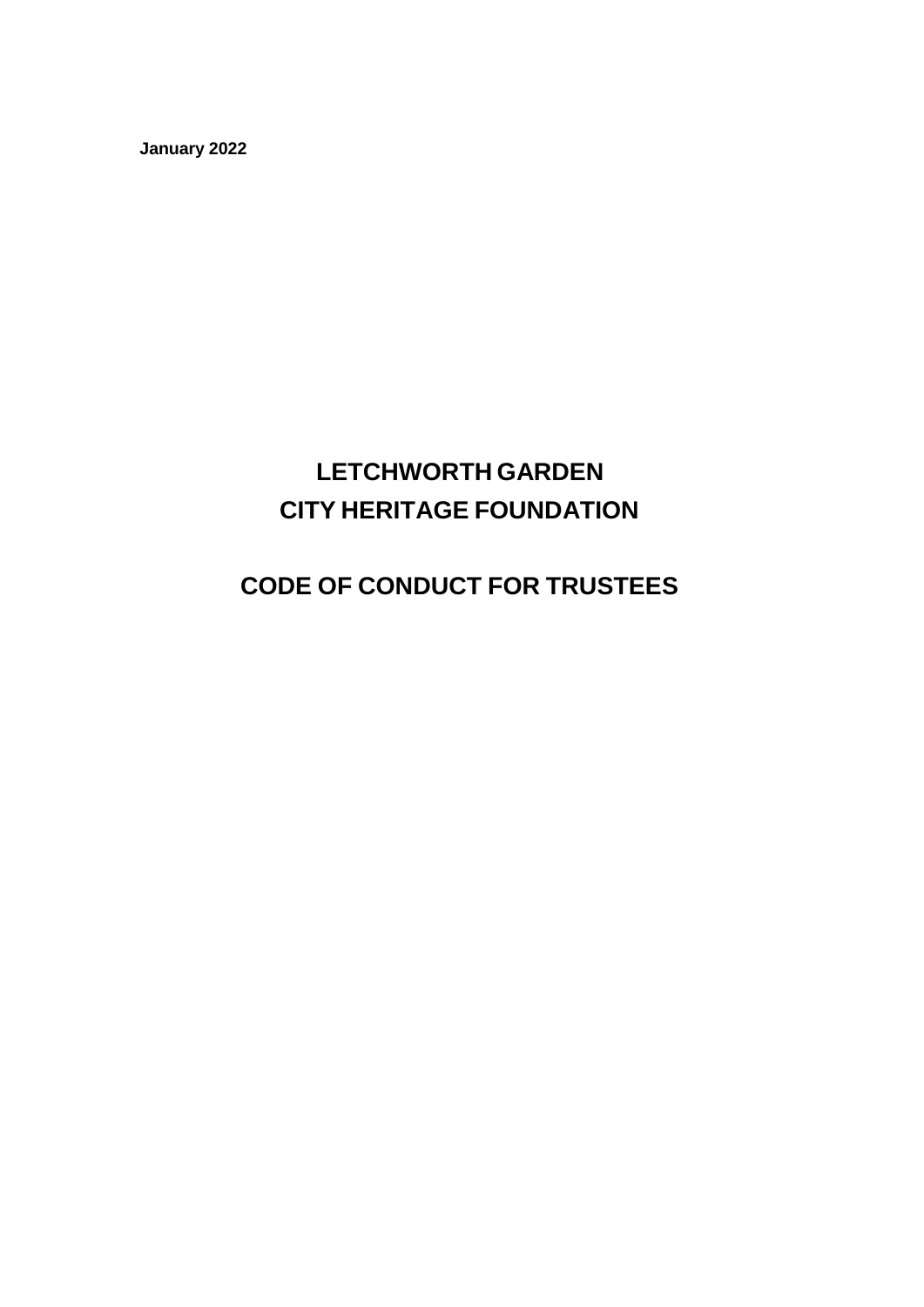**January 2022**

# **LETCHWORTH GARDEN CITY HERITAGE FOUNDATION**

## **CODE OF CONDUCT FOR TRUSTEES**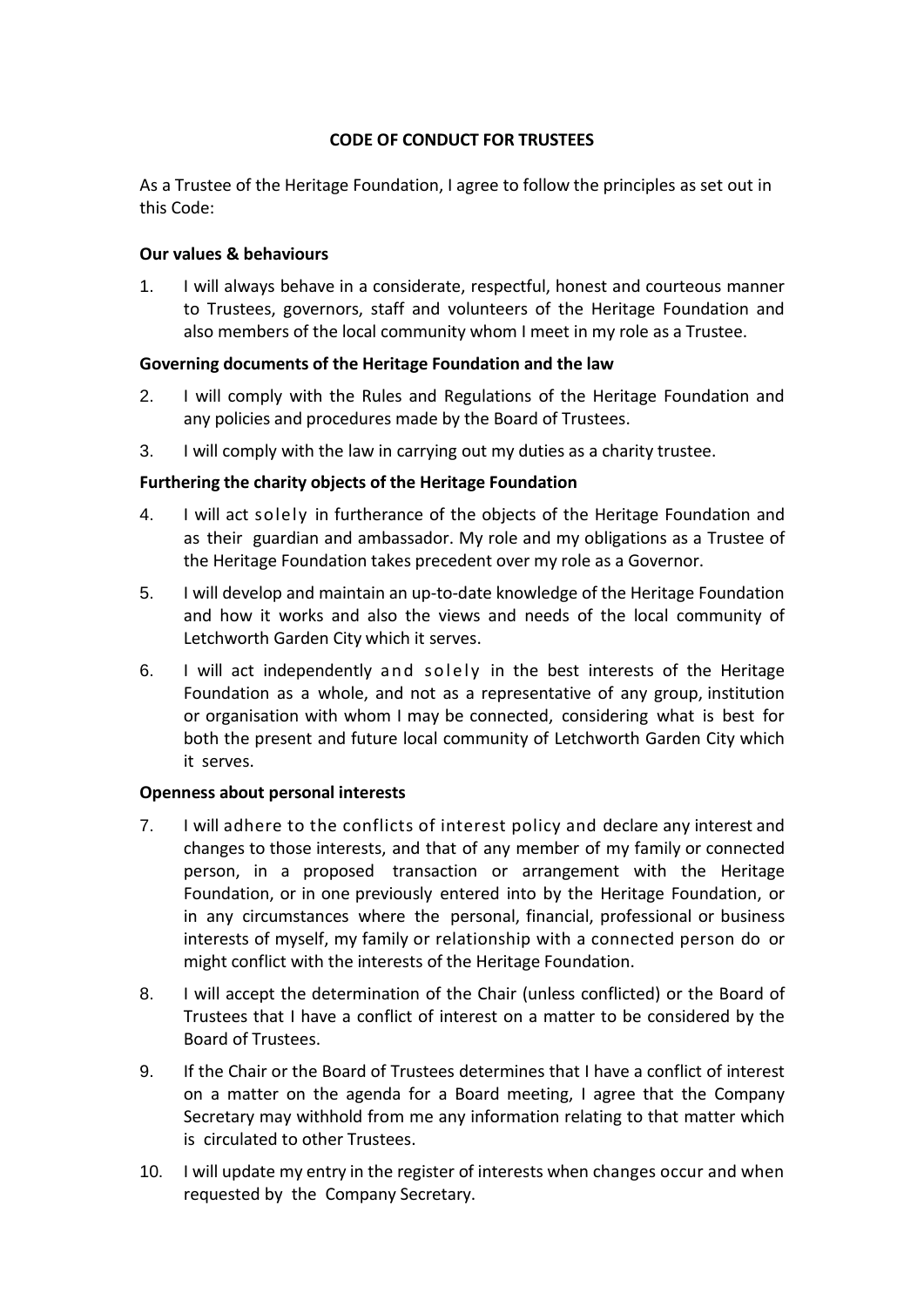### **CODE OF CONDUCT FOR TRUSTEES**

As a Trustee of the Heritage Foundation, I agree to follow the principles as set out in this Code:

#### **Our values & behaviours**

1. I will always behave in a considerate, respectful, honest and courteous manner to Trustees, governors, staff and volunteers of the Heritage Foundation and also members of the local community whom I meet in my role as a Trustee.

#### **Governing documents of the Heritage Foundation and the law**

- 2. I will comply with the Rules and Regulations of the Heritage Foundation and any policies and procedures made by the Board of Trustees.
- 3. I will comply with the law in carrying out my duties as a charity trustee.

#### **Furthering the charity objects of the Heritage Foundation**

- 4. I will act solely in furtherance of the objects of the Heritage Foundation and as their guardian and ambassador. My role and my obligations as a Trustee of the Heritage Foundation takes precedent over my role as a Governor.
- 5. I will develop and maintain an up-to-date knowledge of the Heritage Foundation and how it works and also the views and needs of the local community of Letchworth Garden City which it serves.
- 6. I will act independently and solely in the best interests of the Heritage Foundation as a whole, and not as a representative of any group, institution or organisation with whom I may be connected, considering what is best for both the present and future local community of Letchworth Garden City which it serves.

#### **Openness about personal interests**

- 7. I will adhere to the conflicts of interest policy and declare any interest and changes to those interests, and that of any member of my family or connected person, in a proposed transaction or arrangement with the Heritage Foundation, or in one previously entered into by the Heritage Foundation, or in any circumstances where the personal, financial, professional or business interests of myself, my family or relationship with a connected person do or might conflict with the interests of the Heritage Foundation.
- 8. I will accept the determination of the Chair (unless conflicted) or the Board of Trustees that I have a conflict of interest on a matter to be considered by the Board of Trustees.
- 9. If the Chair or the Board of Trustees determines that I have a conflict of interest on a matter on the agenda for a Board meeting, I agree that the Company Secretary may withhold from me any information relating to that matter which is circulated to other Trustees.
- 10. I will update my entry in the register of interests when changes occur and when requested by the Company Secretary.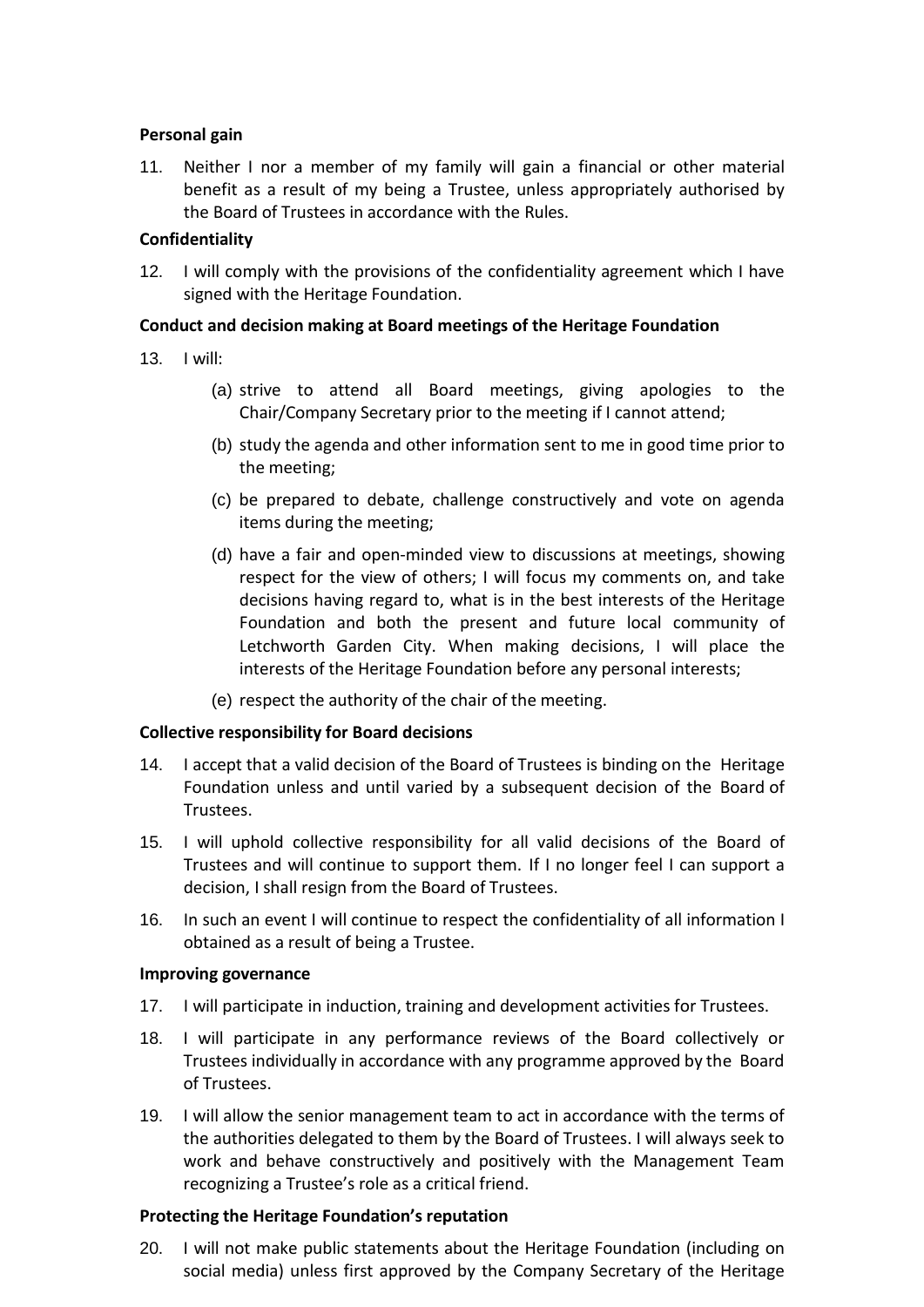#### **Personal gain**

11. Neither I nor a member of my family will gain a financial or other material benefit as a result of my being a Trustee, unless appropriately authorised by the Board of Trustees in accordance with the Rules.

#### **Confidentiality**

12. I will comply with the provisions of the confidentiality agreement which I have signed with the Heritage Foundation.

#### **Conduct and decision making at Board meetings of the Heritage Foundation**

- 13. I will:
	- (a) strive to attend all Board meetings, giving apologies to the Chair/Company Secretary prior to the meeting if I cannot attend;
	- (b) study the agenda and other information sent to me in good time prior to the meeting;
	- (c) be prepared to debate, challenge constructively and vote on agenda items during the meeting;
	- (d) have a fair and open-minded view to discussions at meetings, showing respect for the view of others; I will focus my comments on, and take decisions having regard to, what is in the best interests of the Heritage Foundation and both the present and future local community of Letchworth Garden City. When making decisions, I will place the interests of the Heritage Foundation before any personal interests;
	- (e) respect the authority of the chair of the meeting.

#### **Collective responsibility for Board decisions**

- 14. I accept that a valid decision of the Board of Trustees is binding on the Heritage Foundation unless and until varied by a subsequent decision of the Board of Trustees.
- 15. I will uphold collective responsibility for all valid decisions of the Board of Trustees and will continue to support them. If I no longer feel I can support a decision, I shall resign from the Board of Trustees.
- 16. In such an event I will continue to respect the confidentiality of all information I obtained as a result of being a Trustee.

#### **Improving governance**

- 17. I will participate in induction, training and development activities for Trustees.
- 18. I will participate in any performance reviews of the Board collectively or Trustees individually in accordance with any programme approved by the Board of Trustees.
- 19. I will allow the senior management team to act in accordance with the terms of the authorities delegated to them by the Board of Trustees. I will always seek to work and behave constructively and positively with the Management Team recognizing a Trustee's role as a critical friend.

#### **Protecting the Heritage Foundation's reputation**

20. I will not make public statements about the Heritage Foundation (including on social media) unless first approved by the Company Secretary of the Heritage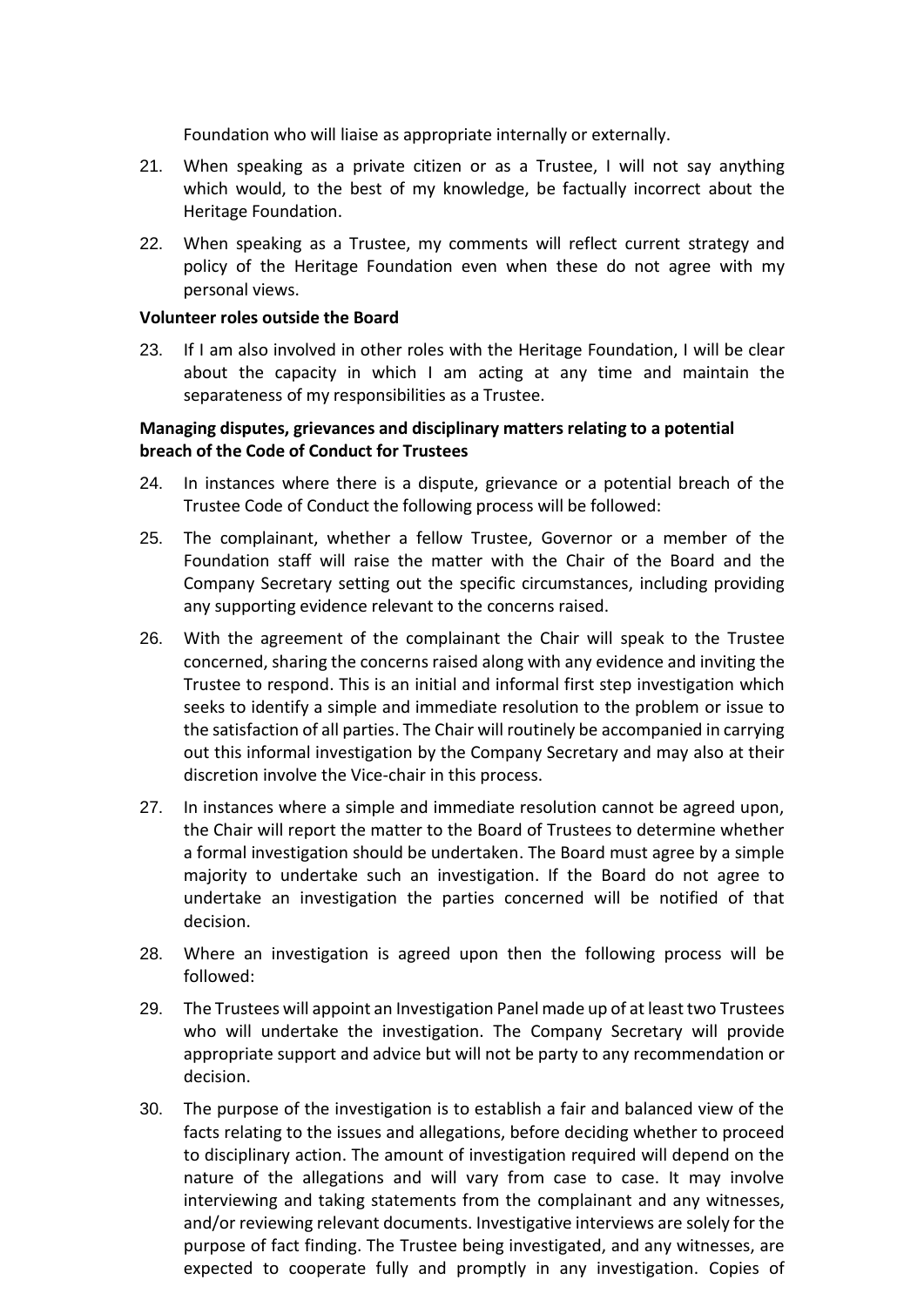Foundation who will liaise as appropriate internally or externally.

- 21. When speaking as a private citizen or as a Trustee, I will not say anything which would, to the best of my knowledge, be factually incorrect about the Heritage Foundation.
- 22. When speaking as a Trustee, my comments will reflect current strategy and policy of the Heritage Foundation even when these do not agree with my personal views.

#### **Volunteer roles outside the Board**

23. If I am also involved in other roles with the Heritage Foundation, I will be clear about the capacity in which I am acting at any time and maintain the separateness of my responsibilities as a Trustee.

#### **Managing disputes, grievances and disciplinary matters relating to a potential breach of the Code of Conduct for Trustees**

- 24. In instances where there is a dispute, grievance or a potential breach of the Trustee Code of Conduct the following process will be followed:
- 25. The complainant, whether a fellow Trustee, Governor or a member of the Foundation staff will raise the matter with the Chair of the Board and the Company Secretary setting out the specific circumstances, including providing any supporting evidence relevant to the concerns raised.
- 26. With the agreement of the complainant the Chair will speak to the Trustee concerned, sharing the concerns raised along with any evidence and inviting the Trustee to respond. This is an initial and informal first step investigation which seeks to identify a simple and immediate resolution to the problem or issue to the satisfaction of all parties. The Chair will routinely be accompanied in carrying out this informal investigation by the Company Secretary and may also at their discretion involve the Vice-chair in this process.
- 27. In instances where a simple and immediate resolution cannot be agreed upon, the Chair will report the matter to the Board of Trustees to determine whether a formal investigation should be undertaken. The Board must agree by a simple majority to undertake such an investigation. If the Board do not agree to undertake an investigation the parties concerned will be notified of that decision.
- 28. Where an investigation is agreed upon then the following process will be followed:
- 29. The Trustees will appoint an Investigation Panel made up of at least two Trustees who will undertake the investigation. The Company Secretary will provide appropriate support and advice but will not be party to any recommendation or decision.
- 30. The purpose of the investigation is to establish a fair and balanced view of the facts relating to the issues and allegations, before deciding whether to proceed to disciplinary action. The amount of investigation required will depend on the nature of the allegations and will vary from case to case. It may involve interviewing and taking statements from the complainant and any witnesses, and/or reviewing relevant documents. Investigative interviews are solely for the purpose of fact finding. The Trustee being investigated, and any witnesses, are expected to cooperate fully and promptly in any investigation. Copies of